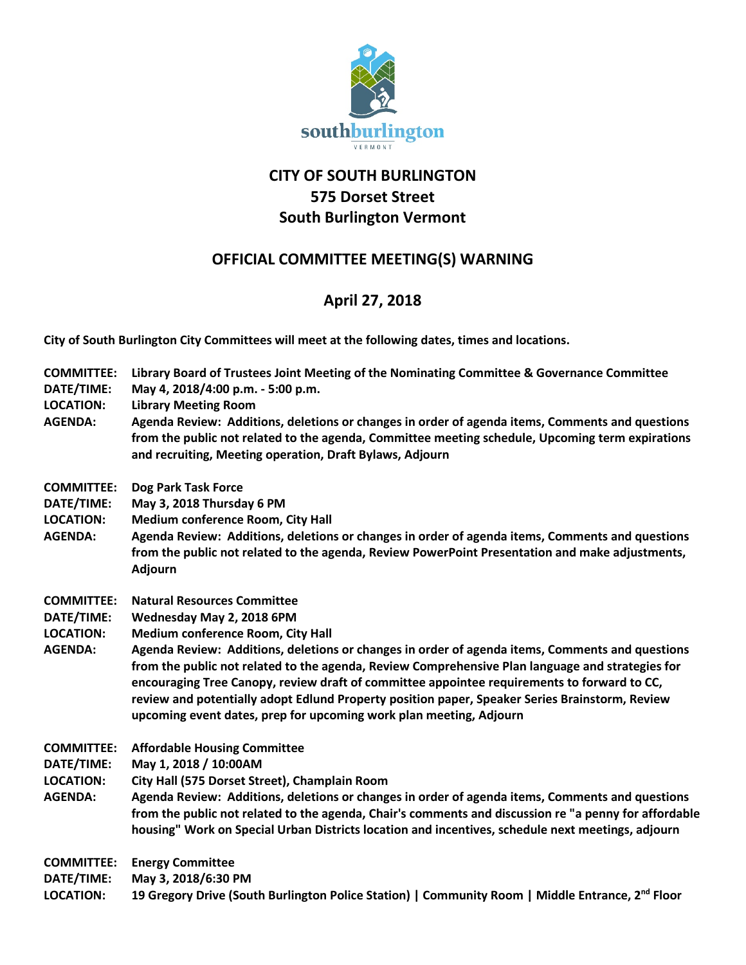

## **CITY OF SOUTH BURLINGTON 575 Dorset Street South Burlington Vermont**

## **OFFICIAL COMMITTEE MEETING(S) WARNING**

## **April 27, 2018**

**City of South Burlington City Committees will meet at the following dates, times and locations.** 

- **COMMITTEE: Library Board of Trustees Joint Meeting of the Nominating Committee & Governance Committee**
- **DATE/TIME: May 4, 2018/4:00 p.m. - 5:00 p.m.**
- **LOCATION: Library Meeting Room**
- **AGENDA: Agenda Review: Additions, deletions or changes in order of agenda items, Comments and questions from the public not related to the agenda, Committee meeting schedule, Upcoming term expirations and recruiting, Meeting operation, Draft Bylaws, Adjourn**
- **COMMITTEE: Dog Park Task Force**
- **DATE/TIME: May 3, 2018 Thursday 6 PM**
- **LOCATION: Medium conference Room, City Hall**
- **AGENDA: Agenda Review: Additions, deletions or changes in order of agenda items, Comments and questions from the public not related to the agenda, Review PowerPoint Presentation and make adjustments, Adjourn**
- **COMMITTEE: Natural Resources Committee**
- **DATE/TIME: Wednesday May 2, 2018 6PM**
- **LOCATION: Medium conference Room, City Hall**
- **AGENDA: Agenda Review: Additions, deletions or changes in order of agenda items, Comments and questions from the public not related to the agenda, Review Comprehensive Plan language and strategies for encouraging Tree Canopy, review draft of committee appointee requirements to forward to CC, review and potentially adopt Edlund Property position paper, Speaker Series Brainstorm, Review upcoming event dates, prep for upcoming work plan meeting, Adjourn**
- **COMMITTEE: Affordable Housing Committee**
- **DATE/TIME: May 1, 2018 / 10:00AM**
- **LOCATION: City Hall (575 Dorset Street), Champlain Room**
- **AGENDA: Agenda Review: Additions, deletions or changes in order of agenda items, Comments and questions from the public not related to the agenda, Chair's comments and discussion re "a penny for affordable housing" Work on Special Urban Districts location and incentives, schedule next meetings, adjourn**

**COMMITTEE: Energy Committee**

**DATE/TIME: May 3, 2018/6:30 PM**  LOCATION: **19 Gregory Drive (South Burlington Police Station) | Community Room | Middle Entrance, 2<sup>nd</sup> Floor**